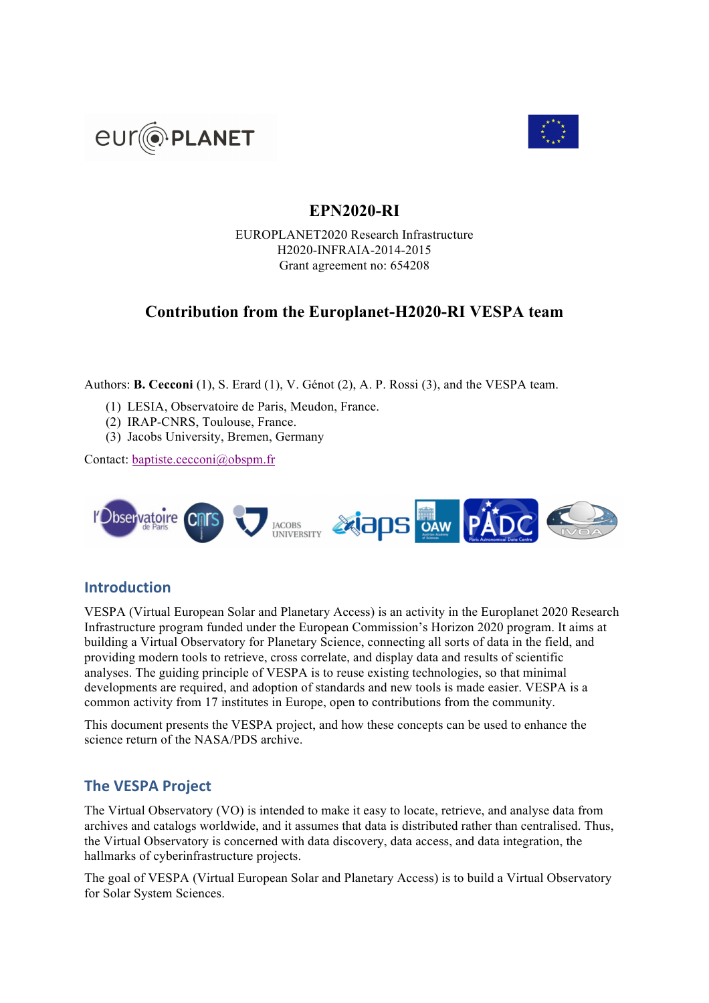



# **EPN2020-RI**

EUROPLANET2020 Research Infrastructure H2020-INFRAIA-2014-2015 Grant agreement no: 654208

# **Contribution from the Europlanet-H2020-RI VESPA team**

Authors: **B. Cecconi** (1), S. Erard (1), V. Génot (2), A. P. Rossi (3), and the VESPA team.

- (1) LESIA, Observatoire de Paris, Meudon, France.
- (2) IRAP-CNRS, Toulouse, France.
- (3) Jacobs University, Bremen, Germany

Contact: baptiste.cecconi@obspm.fr



# **Introduction**

VESPA (Virtual European Solar and Planetary Access) is an activity in the Europlanet 2020 Research Infrastructure program funded under the European Commission's Horizon 2020 program. It aims at building a Virtual Observatory for Planetary Science, connecting all sorts of data in the field, and providing modern tools to retrieve, cross correlate, and display data and results of scientific analyses. The guiding principle of VESPA is to reuse existing technologies, so that minimal developments are required, and adoption of standards and new tools is made easier. VESPA is a common activity from 17 institutes in Europe, open to contributions from the community.

This document presents the VESPA project, and how these concepts can be used to enhance the science return of the NASA/PDS archive.

# **The VESPA Project**

The Virtual Observatory (VO) is intended to make it easy to locate, retrieve, and analyse data from archives and catalogs worldwide, and it assumes that data is distributed rather than centralised. Thus, the Virtual Observatory is concerned with data discovery, data access, and data integration, the hallmarks of cyberinfrastructure projects.

The goal of VESPA (Virtual European Solar and Planetary Access) is to build a Virtual Observatory for Solar System Sciences.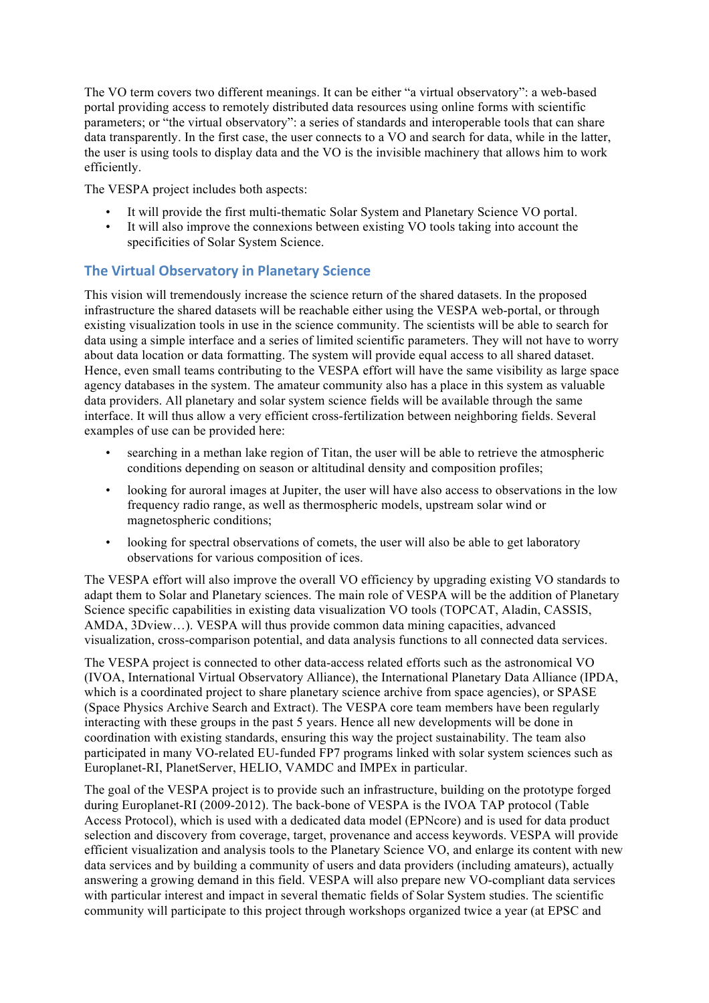The VO term covers two different meanings. It can be either "a virtual observatory": a web-based portal providing access to remotely distributed data resources using online forms with scientific parameters; or "the virtual observatory": a series of standards and interoperable tools that can share data transparently. In the first case, the user connects to a VO and search for data, while in the latter, the user is using tools to display data and the VO is the invisible machinery that allows him to work efficiently.

The VESPA project includes both aspects:

- It will provide the first multi-thematic Solar System and Planetary Science VO portal.
- It will also improve the connexions between existing VO tools taking into account the specificities of Solar System Science.

#### **The Virtual Observatory in Planetary Science**

This vision will tremendously increase the science return of the shared datasets. In the proposed infrastructure the shared datasets will be reachable either using the VESPA web-portal, or through existing visualization tools in use in the science community. The scientists will be able to search for data using a simple interface and a series of limited scientific parameters. They will not have to worry about data location or data formatting. The system will provide equal access to all shared dataset. Hence, even small teams contributing to the VESPA effort will have the same visibility as large space agency databases in the system. The amateur community also has a place in this system as valuable data providers. All planetary and solar system science fields will be available through the same interface. It will thus allow a very efficient cross-fertilization between neighboring fields. Several examples of use can be provided here:

- searching in a methan lake region of Titan, the user will be able to retrieve the atmospheric conditions depending on season or altitudinal density and composition profiles;
- looking for auroral images at Jupiter, the user will have also access to observations in the low frequency radio range, as well as thermospheric models, upstream solar wind or magnetospheric conditions;
- looking for spectral observations of comets, the user will also be able to get laboratory observations for various composition of ices.

The VESPA effort will also improve the overall VO efficiency by upgrading existing VO standards to adapt them to Solar and Planetary sciences. The main role of VESPA will be the addition of Planetary Science specific capabilities in existing data visualization VO tools (TOPCAT, Aladin, CASSIS, AMDA, 3Dview…). VESPA will thus provide common data mining capacities, advanced visualization, cross-comparison potential, and data analysis functions to all connected data services.

The VESPA project is connected to other data-access related efforts such as the astronomical VO (IVOA, International Virtual Observatory Alliance), the International Planetary Data Alliance (IPDA, which is a coordinated project to share planetary science archive from space agencies), or SPASE (Space Physics Archive Search and Extract). The VESPA core team members have been regularly interacting with these groups in the past 5 years. Hence all new developments will be done in coordination with existing standards, ensuring this way the project sustainability. The team also participated in many VO-related EU-funded FP7 programs linked with solar system sciences such as Europlanet-RI, PlanetServer, HELIO, VAMDC and IMPEx in particular.

The goal of the VESPA project is to provide such an infrastructure, building on the prototype forged during Europlanet-RI (2009-2012). The back-bone of VESPA is the IVOA TAP protocol (Table Access Protocol), which is used with a dedicated data model (EPNcore) and is used for data product selection and discovery from coverage, target, provenance and access keywords. VESPA will provide efficient visualization and analysis tools to the Planetary Science VO, and enlarge its content with new data services and by building a community of users and data providers (including amateurs), actually answering a growing demand in this field. VESPA will also prepare new VO-compliant data services with particular interest and impact in several thematic fields of Solar System studies. The scientific community will participate to this project through workshops organized twice a year (at EPSC and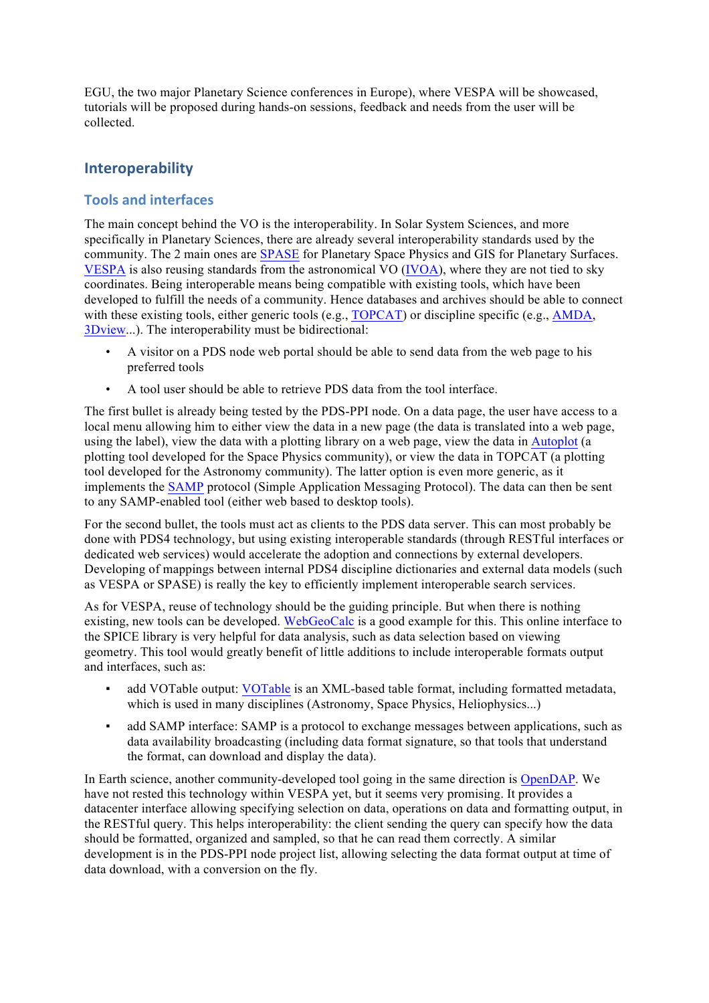EGU, the two major Planetary Science conferences in Europe), where VESPA will be showcased, tutorials will be proposed during hands-on sessions, feedback and needs from the user will be collected.

## **Interoperability**

#### **Tools and interfaces**

The main concept behind the VO is the interoperability. In Solar System Sciences, and more specifically in Planetary Sciences, there are already several interoperability standards used by the community. The 2 main ones are SPASE for Planetary Space Physics and GIS for Planetary Surfaces. VESPA is also reusing standards from the astronomical VO (IVOA), where they are not tied to sky coordinates. Being interoperable means being compatible with existing tools, which have been developed to fulfill the needs of a community. Hence databases and archives should be able to connect with these existing tools, either generic tools (e.g., TOPCAT) or discipline specific (e.g., AMDA, 3Dview...). The interoperability must be bidirectional:

- A visitor on a PDS node web portal should be able to send data from the web page to his preferred tools
- A tool user should be able to retrieve PDS data from the tool interface.

The first bullet is already being tested by the PDS-PPI node. On a data page, the user have access to a local menu allowing him to either view the data in a new page (the data is translated into a web page, using the label), view the data with a plotting library on a web page, view the data in Autoplot (a plotting tool developed for the Space Physics community), or view the data in TOPCAT (a plotting tool developed for the Astronomy community). The latter option is even more generic, as it implements the SAMP protocol (Simple Application Messaging Protocol). The data can then be sent to any SAMP-enabled tool (either web based to desktop tools).

For the second bullet, the tools must act as clients to the PDS data server. This can most probably be done with PDS4 technology, but using existing interoperable standards (through RESTful interfaces or dedicated web services) would accelerate the adoption and connections by external developers. Developing of mappings between internal PDS4 discipline dictionaries and external data models (such as VESPA or SPASE) is really the key to efficiently implement interoperable search services.

As for VESPA, reuse of technology should be the guiding principle. But when there is nothing existing, new tools can be developed. WebGeoCalc is a good example for this. This online interface to the SPICE library is very helpful for data analysis, such as data selection based on viewing geometry. This tool would greatly benefit of little additions to include interoperable formats output and interfaces, such as:

- add VOTable output: VOTable is an XML-based table format, including formatted metadata, which is used in many disciplines (Astronomy, Space Physics, Heliophysics...)
- add SAMP interface: SAMP is a protocol to exchange messages between applications, such as data availability broadcasting (including data format signature, so that tools that understand the format, can download and display the data).

In Earth science, another community-developed tool going in the same direction is OpenDAP. We have not rested this technology within VESPA yet, but it seems very promising. It provides a datacenter interface allowing specifying selection on data, operations on data and formatting output, in the RESTful query. This helps interoperability: the client sending the query can specify how the data should be formatted, organized and sampled, so that he can read them correctly. A similar development is in the PDS-PPI node project list, allowing selecting the data format output at time of data download, with a conversion on the fly.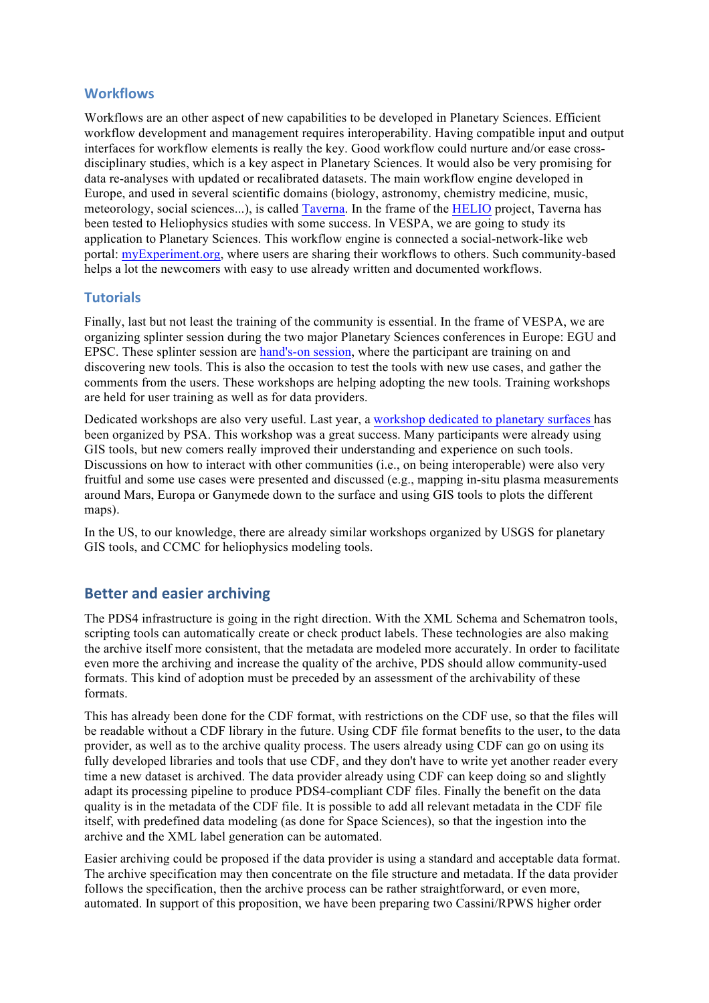#### **Workflows**

Workflows are an other aspect of new capabilities to be developed in Planetary Sciences. Efficient workflow development and management requires interoperability. Having compatible input and output interfaces for workflow elements is really the key. Good workflow could nurture and/or ease crossdisciplinary studies, which is a key aspect in Planetary Sciences. It would also be very promising for data re-analyses with updated or recalibrated datasets. The main workflow engine developed in Europe, and used in several scientific domains (biology, astronomy, chemistry medicine, music, meteorology, social sciences...), is called Taverna. In the frame of the HELIO project, Taverna has been tested to Heliophysics studies with some success. In VESPA, we are going to study its application to Planetary Sciences. This workflow engine is connected a social-network-like web portal: myExperiment.org, where users are sharing their workflows to others. Such community-based helps a lot the newcomers with easy to use already written and documented workflows.

#### **Tutorials**

Finally, last but not least the training of the community is essential. In the frame of VESPA, we are organizing splinter session during the two major Planetary Sciences conferences in Europe: EGU and EPSC. These splinter session are hand's-on session, where the participant are training on and discovering new tools. This is also the occasion to test the tools with new use cases, and gather the comments from the users. These workshops are helping adopting the new tools. Training workshops are held for user training as well as for data providers.

Dedicated workshops are also very useful. Last year, a workshop dedicated to planetary surfaces has been organized by PSA. This workshop was a great success. Many participants were already using GIS tools, but new comers really improved their understanding and experience on such tools. Discussions on how to interact with other communities (i.e., on being interoperable) were also very fruitful and some use cases were presented and discussed (e.g., mapping in-situ plasma measurements around Mars, Europa or Ganymede down to the surface and using GIS tools to plots the different maps).

In the US, to our knowledge, there are already similar workshops organized by USGS for planetary GIS tools, and CCMC for heliophysics modeling tools.

### **Better and easier archiving**

The PDS4 infrastructure is going in the right direction. With the XML Schema and Schematron tools, scripting tools can automatically create or check product labels. These technologies are also making the archive itself more consistent, that the metadata are modeled more accurately. In order to facilitate even more the archiving and increase the quality of the archive, PDS should allow community-used formats. This kind of adoption must be preceded by an assessment of the archivability of these formats.

This has already been done for the CDF format, with restrictions on the CDF use, so that the files will be readable without a CDF library in the future. Using CDF file format benefits to the user, to the data provider, as well as to the archive quality process. The users already using CDF can go on using its fully developed libraries and tools that use CDF, and they don't have to write yet another reader every time a new dataset is archived. The data provider already using CDF can keep doing so and slightly adapt its processing pipeline to produce PDS4-compliant CDF files. Finally the benefit on the data quality is in the metadata of the CDF file. It is possible to add all relevant metadata in the CDF file itself, with predefined data modeling (as done for Space Sciences), so that the ingestion into the archive and the XML label generation can be automated.

Easier archiving could be proposed if the data provider is using a standard and acceptable data format. The archive specification may then concentrate on the file structure and metadata. If the data provider follows the specification, then the archive process can be rather straightforward, or even more, automated. In support of this proposition, we have been preparing two Cassini/RPWS higher order